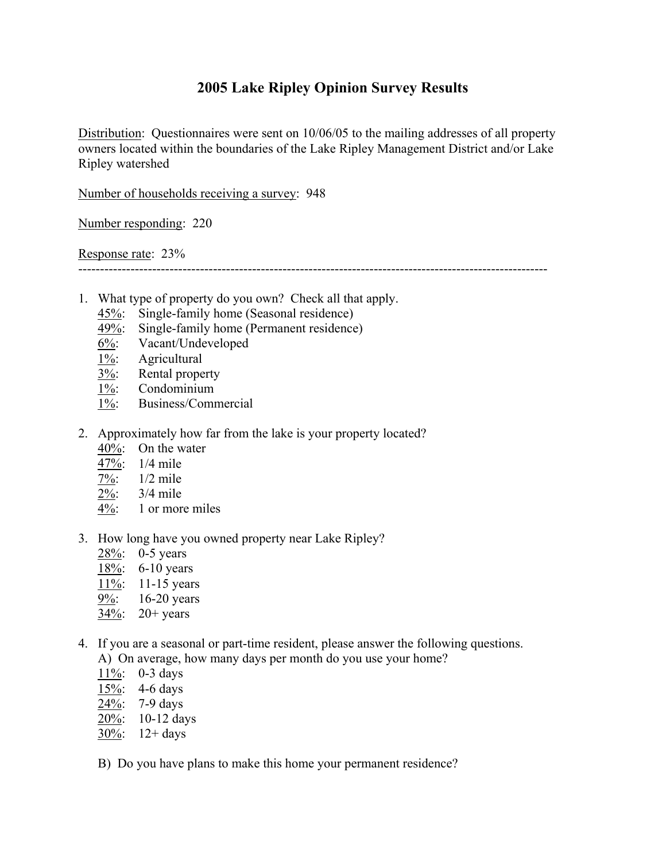## **2005 Lake Ripley Opinion Survey Results**

Distribution: Questionnaires were sent on 10/06/05 to the mailing addresses of all property owners located within the boundaries of the Lake Ripley Management District and/or Lake Ripley watershed

Number of households receiving a survey: 948

Number responding: 220

Response rate: 23%

------------------------------------------------------------------------------------------------------------

- 1. What type of property do you own? Check all that apply.
	- 45%: Single-family home (Seasonal residence)
	- $\frac{49\%}{6\%}$ : Single-family home (Permanent residence)<br>6%: Vacant/Undeveloped
	- Vacant/Undeveloped
	- 1%: Agricultural
	- $\overline{3\%}$ : Rental property
	- 1%: Condominium
	- 1%: Business/Commercial
- 2. Approximately how far from the lake is your property located?
	- 40%: On the water
	- 47%: 1/4 mile
	- 7%: 1/2 mile
	- 2%: 3/4 mile
	- 4%: 1 or more miles
- 3. How long have you owned property near Lake Ripley?
	- 28%: 0-5 years
	- 18%: 6-10 years
	- 11\%: 11-15 years
	- 9%: 16-20 years
	- 34%: 20+ years
- 4. If you are a seasonal or part-time resident, please answer the following questions.
	- A) On average, how many days per month do you use your home?
	- 11%: 0-3 days
	- 15%: 4-6 days
	- 24%: 7-9 days
	- 20%: 10-12 days
	- $30\%$ : 12+ days
	- B) Do you have plans to make this home your permanent residence?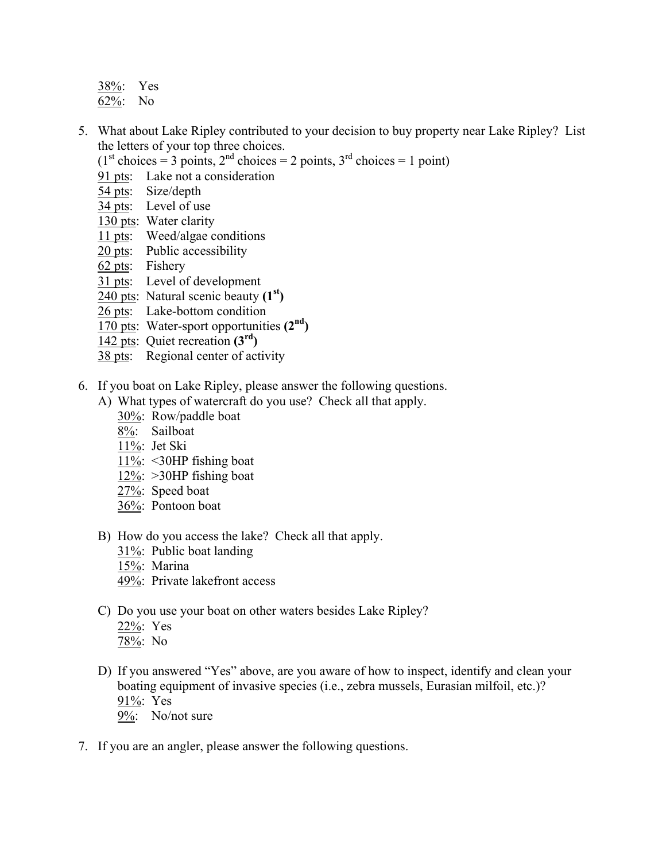- 38%: Yes 62%: No
- 5. What about Lake Ripley contributed to your decision to buy property near Lake Ripley? List the letters of your top three choices.
	- $(1<sup>st</sup> choices = 3 points, 2<sup>nd</sup> choices = 2 points, 3<sup>rd</sup> choices = 1 point)$
	- 91 pts: Lake not a consideration
	- 54 pts: Size/depth
	- 34 pts: Level of use
	- 130 pts: Water clarity
	- 11 pts: Weed/algae conditions
	- 20 pts: Public accessibility
	- 62 pts: Fishery
	- 31 pts: Level of development
	- 240 pts: Natural scenic beauty **(1st)**
	- 26 pts: Lake-bottom condition
	- 170 pts: Water-sport opportunities **(2nd)**
	- 142 pts: Quiet recreation **(3rd)**
	- 38 pts: Regional center of activity
- 6. If you boat on Lake Ripley, please answer the following questions.
	- A) What types of watercraft do you use? Check all that apply.
		- 30%: Row/paddle boat
		- 8%: Sailboat
		- 11%: Jet Ski
		- 11%: <30HP fishing boat
		- $12\%$ : >30HP fishing boat
		- 27%: Speed boat
		- 36%: Pontoon boat
	- B) How do you access the lake? Check all that apply.
		- 31%: Public boat landing
		- 15%: Marina
		- 49%: Private lakefront access
	- C) Do you use your boat on other waters besides Lake Ripley?
		- 22%: Yes
		- 78%: No
	- D) If you answered "Yes" above, are you aware of how to inspect, identify and clean your boating equipment of invasive species (i.e., zebra mussels, Eurasian milfoil, etc.)? 91%: Yes
		- 9%: No/not sure
- 7. If you are an angler, please answer the following questions.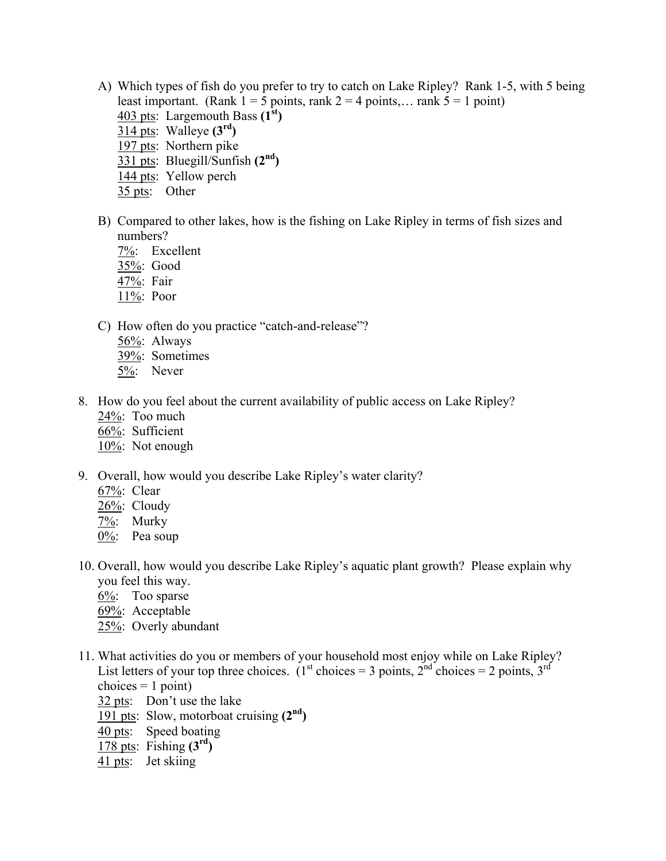- A) Which types of fish do you prefer to try to catch on Lake Ripley? Rank 1-5, with 5 being least important. (Rank  $1 = 5$  points, rank  $2 = 4$  points,... rank  $5 = 1$  point) 403 pts: Largemouth Bass **(1st)** 314 pts: Walleye **(3rd)**  197 pts: Northern pike
	- 331 pts: Bluegill/Sunfish **(2nd)**
	- 144 pts: Yellow perch
	- 35 pts: Other
- B) Compared to other lakes, how is the fishing on Lake Ripley in terms of fish sizes and numbers?
	- 7%: Excellent
	- 35%: Good
	- 47%: Fair
	- 11%: Poor
- C) How often do you practice "catch-and-release"?
	- 56%: Always
	- 39%: Sometimes
	- 5%: Never
- 8. How do you feel about the current availability of public access on Lake Ripley?
	- $24\%$ : Too much
	- 66%: Sufficient
	- 10%: Not enough
- 9. Overall, how would you describe Lake Ripley's water clarity?
	- 67%: Clear
	- 26%: Cloudy
	- 7%: Murky
	- 0%: Pea soup
- 10. Overall, how would you describe Lake Ripley's aquatic plant growth? Please explain why you feel this way.
	- 6%: Too sparse
	- 69%: Acceptable
	- 25%: Overly abundant
- 11. What activities do you or members of your household most enjoy while on Lake Ripley? List letters of your top three choices. (1<sup>st</sup> choices = 3 points, 2<sup>nd</sup> choices = 2 points, 3<sup>rd</sup> choices  $= 1$  point)
	- 32 pts: Don't use the lake
	- 191 pts: Slow, motorboat cruising **(2nd)**
	- 40 pts: Speed boating
	- 178 pts: Fishing **(3rd)**
	- 41 pts: Jet skiing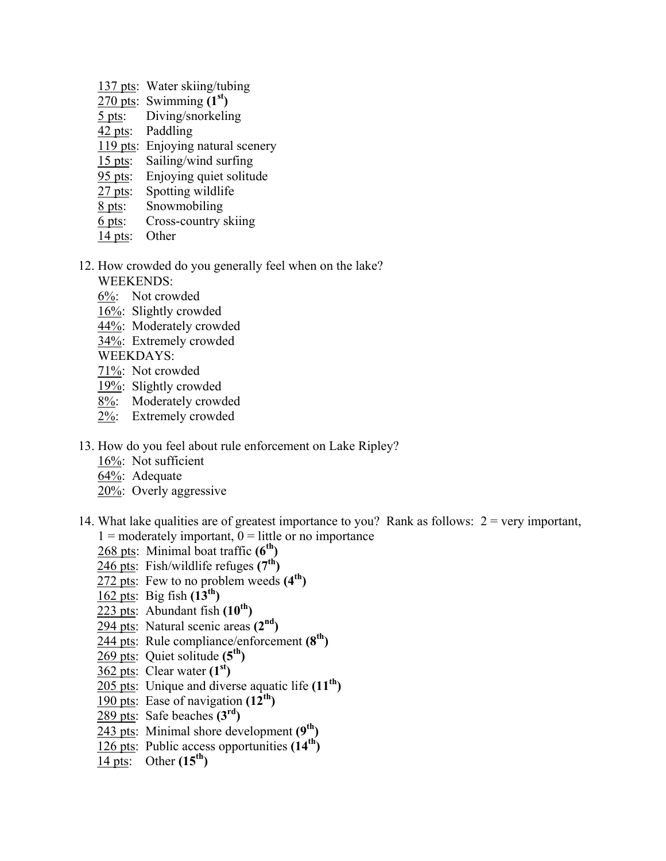- 137 pts: Water skiing/tubing
- 270 pts: Swimming **(1st)**
- 5 pts: Diving/snorkeling
- 42 pts: Paddling
- 119 pts: Enjoying natural scenery
- 15 pts: Sailing/wind surfing
- 95 pts: Enjoying quiet solitude
- 27 pts: Spotting wildlife
- 8 pts: Snowmobiling
- 6 pts: Cross-country skiing
- 14 pts: Other
- 12. How crowded do you generally feel when on the lake?
	- WEEKENDS:
	- 6%: Not crowded
	- 16%: Slightly crowded
	- 44%: Moderately crowded
	- 34%: Extremely crowded
	- WEEKDAYS:
	- 71%: Not crowded
	- 19%: Slightly crowded
	- 8%: Moderately crowded
	- 2%: Extremely crowded
- 13. How do you feel about rule enforcement on Lake Ripley?
	- 16%: Not sufficient
	- 64%: Adequate
	- 20%: Overly aggressive
- 14. What lake qualities are of greatest importance to you? Rank as follows:  $2 = \text{very important}$ ,  $1 =$  moderately important,  $0 =$  little or no importance
	- 268 pts: Minimal boat traffic **(6<sup>th</sup>)**
	- 246 pts: Fish/wildlife refuges **(7th)**
	- 272 pts: Few to no problem weeds **(4th)**
	- 162 pts: Big fish **(13th)**
	- $223$  pts: Abundant fish  $(10^{th})$
	- 294 pts: Natural scenic areas **(2nd)**
	- 244 pts: Rule compliance/enforcement **(8th)**
	- 269 pts: Quiet solitude **(5th)**
	- 362 pts: Clear water **(1st)**
	- 205 pts: Unique and diverse aquatic life **(11th)**
	- 190 pts: Ease of navigation **(12th)**
	- 289 pts: Safe beaches **(3rd)**
	- 243 pts: Minimal shore development **(9th)**
	- 126 pts: Public access opportunities **(14th)**
	- 14 pts: Other **(15th)**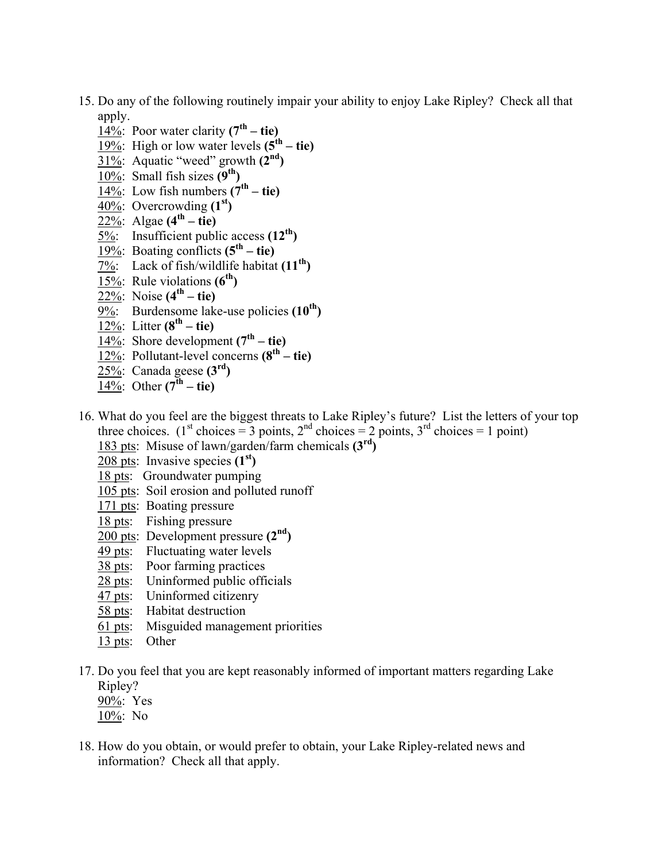- 15. Do any of the following routinely impair your ability to enjoy Lake Ripley? Check all that apply.
	- 14%: Poor water clarity  $(7<sup>th</sup> tie)$
	- $\frac{19\%}{19\%}$ : High or low water levels  $(5^{th} the)$
	- 31%: Aquatic "weed" growth **(2nd)**
	- 10%: Small fish sizes **(9th)**
	- $\overline{14\%}$ : Low fish numbers  $(7^{th} the)$
	- 40%: Overcrowding **(1st)**
	- $\overline{22\%}$ : Algae  $(4^{th} tie)$
	- 5%: Insufficient public access **(12th)**
	- $\overline{19\%}$ : Boating conflicts  $(5^{\text{th}} \text{tie})$
	- 7%: Lack of fish/wildlife habitat **(11th)**
	- 15%: Rule violations **(6th)**
	- $\sqrt{22\%}$ : Noise  $(4^{th} the)$
	- 9%: Burdensome lake-use policies (10<sup>th</sup>)
	- $\overline{12\%}$ : Litter (8<sup>th</sup> tie)
	- 14%: Shore development  $(7<sup>th</sup> tie)$
	- 12%: Pollutant-level concerns **(8th tie)**
	- 25%: Canada geese **(3rd)**
	- $\overline{14\%}$ : Other  $(7^{\text{th}} \text{tie})$
- 16. What do you feel are the biggest threats to Lake Ripley's future? List the letters of your top three choices. (1<sup>st</sup> choices = 3 points, 2<sup>nd</sup> choices = 2 points, 3<sup>rd</sup> choices = 1 point)
	- 183 pts: Misuse of lawn/garden/farm chemicals **(3rd)**
	- 208 pts: Invasive species **(1st)**
	- 18 pts: Groundwater pumping
	- 105 pts: Soil erosion and polluted runoff
	- 171 pts: Boating pressure
	- 18 pts: Fishing pressure
	- 200 pts: Development pressure **(2nd)**
	- 49 pts: Fluctuating water levels
	- 38 pts: Poor farming practices
	- 28 pts: Uninformed public officials
	- 47 pts: Uninformed citizenry
	- 58 pts: Habitat destruction
	- 61 pts: Misguided management priorities
	- 13 pts: Other
- 17. Do you feel that you are kept reasonably informed of important matters regarding Lake Ripley?
	- 90%: Yes
	- 10%: No
- 18. How do you obtain, or would prefer to obtain, your Lake Ripley-related news and information? Check all that apply.